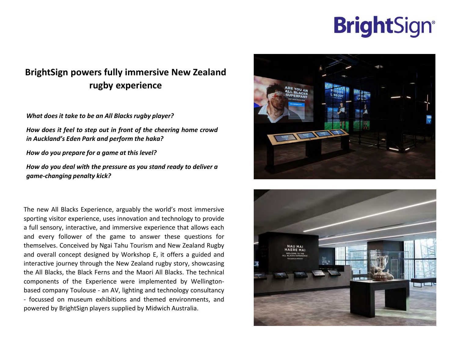# **BrightSign®**

# **BrightSign powers fully immersive New Zealand rugby experience**

*What does it take to be an All Blacks rugby player?* 

*How does it feel to step out in front of the cheering home crowd in Auckland's Eden Park and perform the haka?*

*How do you prepare for a game at this level?*

*How do you deal with the pressure as you stand ready to deliver a game-changing penalty kick?*

The new All Blacks Experience, arguably the world's most immersive sporting visitor experience, uses innovation and technology to provide a full sensory, interactive, and immersive experience that allows each and every follower of the game to answer these questions for themselves. Conceived by Ngai Tahu Tourism and New Zealand Rugby and overall concept designed by Workshop E, it offers a guided and interactive journey through the New Zealand rugby story, showcasing the All Blacks, the Black Ferns and the Maori All Blacks. The technical components of the Experience were implemented by Wellingtonbased company Toulouse - an AV, lighting and technology consultancy - focussed on museum exhibitions and themed environments, and powered by BrightSign players supplied by Midwich Australia.



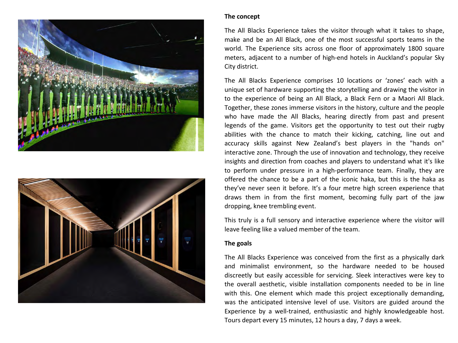



### **The concept**

The All Blacks Experience takes the visitor through what it takes to shape, make and be an All Black, one of the most successful sports teams in the world. The Experience sits across one floor of approximately 1800 square meters, adjacent to a number of high-end hotels in Auckland's popular Sky City district.

The All Blacks Experience comprises 10 locations or 'zones' each with a unique set of hardware supporting the storytelling and drawing the visitor in to the experience of being an All Black, a Black Fern or a Maori All Black. Together, these zones immerse visitors in the history, culture and the people who have made the All Blacks, hearing directly from past and present legends of the game. Visitors get the opportunity to test out their rugby abilities with the chance to match their kicking, catching, line out and accuracy skills against New Zealand's best players in the "hands on" interactive zone. Through the use of innovation and technology, they receive insights and direction from coaches and players to understand what it's like to perform under pressure in a high-performance team. Finally, they are offered the chance to be a part of the iconic haka, but this is the haka as they've never seen it before. It's a four metre high screen experience that draws them in from the first moment, becoming fully part of the jaw dropping, knee trembling event.

This truly is a full sensory and interactive experience where the visitor will leave feeling like a valued member of the team.

# **The goals**

The All Blacks Experience was conceived from the first as a physically dark and minimalist environment, so the hardware needed to be housed discreetly but easily accessible for servicing. Sleek interactives were key to the overall aesthetic, visible installation components needed to be in line with this. One element which made this project exceptionally demanding, was the anticipated intensive level of use. Visitors are guided around the Experience by a well-trained, enthusiastic and highly knowledgeable host. Tours depart every 15 minutes, 12 hours a day, 7 days a week.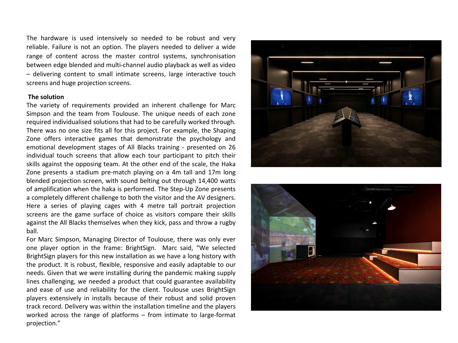The hardware is used intensively so needed to be robust and very reliable. Failure is not an option. The players needed to deliver a wide range of content across the master control systems, synchronisation between edge blended and multi-channel audio playback as well as video – delivering content to small intimate screens, large interactive touch screens and huge projection screens.

#### **The solution**

The variety of requirements provided an inherent challenge for Marc Simpson and the team from Toulouse. The unique needs of each zone required individualised solutions that had to be carefully worked through. There was no one size fits all for this project. For example, the Shaping Zone offers interactive games that demonstrate the psychology and emotional development stages of All Blacks training - presented on 26 individual touch screens that allow each tour participant to pitch their skills against the opposing team. At the other end of the scale, the Haka Zone presents a stadium pre-match playing on a 4m tall and 17m long blended projection screen, with sound belting out through 14,400 watts of amplification when the haka is performed. The Step-Up Zone presents a completely different challenge to both the visitor and the AV designers. Here a series of playing cages with 4 metre tall portrait projection screens are the game surface of choice as visitors compare their skills against the All Blacks themselves when they kick, pass and throw a rugby ball.

For Marc Simpson, Managing Director of Toulouse, there was only ever one player option in the frame: BrightSign. Marc said, "We selected BrightSign players for this new installation as we have a long history with the product. It is robust, flexible, responsive and easily adaptable to our needs. Given that we were installing during the pandemic making supply lines challenging, we needed a product that could guarantee availability and ease of use and reliability for the client. Toulouse uses BrightSign players extensively in installs because of their robust and solid proven track record. Delivery was within the installation timeline and the players worked across the range of platforms – from intimate to large-format projection."



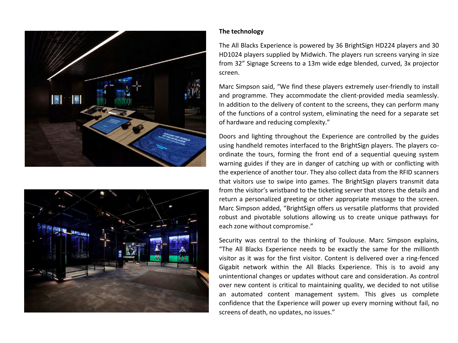



## **The technology**

The All Blacks Experience is powered by 36 BrightSign HD224 players and 30 HD1024 players supplied by Midwich. The players run screens varying in size from 32" Signage Screens to a 13m wide edge blended, curved, 3x projector screen.

Marc Simpson said, "We find these players extremely user-friendly to install and programme. They accommodate the client-provided media seamlessly. In addition to the delivery of content to the screens, they can perform many of the functions of a control system, eliminating the need for a separate set of hardware and reducing complexity."

Doors and lighting throughout the Experience are controlled by the guides using handheld remotes interfaced to the BrightSign players. The players coordinate the tours, forming the front end of a sequential queuing system warning guides if they are in danger of catching up with or conflicting with the experience of another tour. They also collect data from the RFID scanners that visitors use to swipe into games. The BrightSign players transmit data from the visitor's wristband to the ticketing server that stores the details and return a personalized greeting or other appropriate message to the screen. Marc Simpson added, "BrightSign offers us versatile platforms that provided robust and pivotable solutions allowing us to create unique pathways for each zone without compromise."

Security was central to the thinking of Toulouse. Marc Simpson explains, "The All Blacks Experience needs to be exactly the same for the millionth visitor as it was for the first visitor. Content is delivered over a ring-fenced Gigabit network within the All Blacks Experience. This is to avoid any unintentional changes or updates without care and consideration. As control over new content is critical to maintaining quality, we decided to not utilise an automated content management system. This gives us complete confidence that the Experience will power up every morning without fail, no screens of death, no updates, no issues."